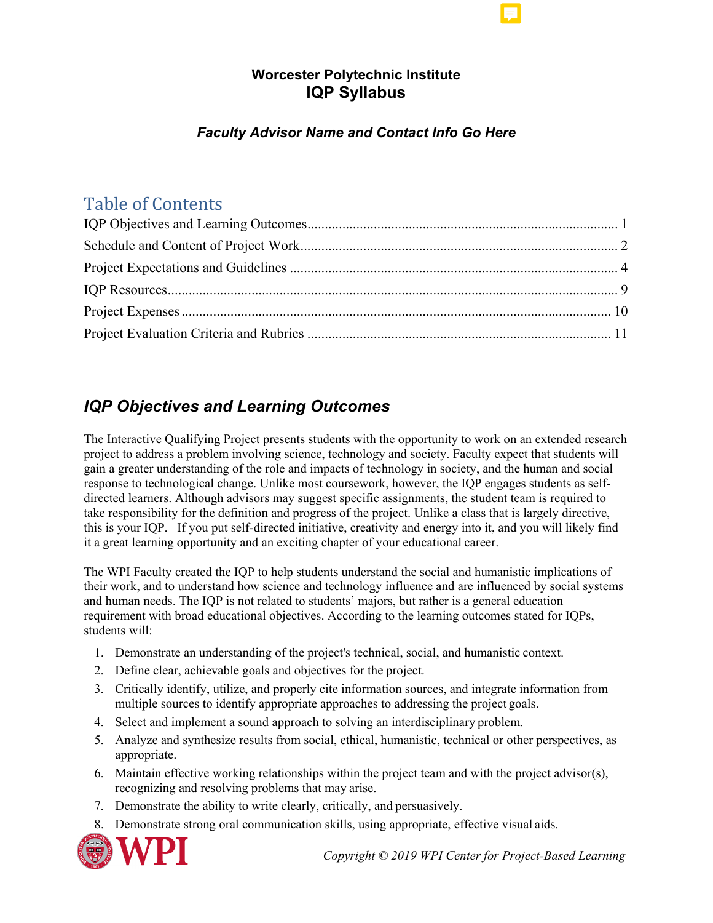## **Worcester Polytechnic Institute IQP Syllabus**

## *Faculty Advisor Name and Contact Info Go Here*

# Table of Contents

# <span id="page-0-0"></span>*IQP Objectives and Learning Outcomes*

The Interactive Qualifying Project presents students with the opportunity to work on an extended research project to address a problem involving science, technology and society. Faculty expect that students will gain a greater understanding of the role and impacts of technology in society, and the human and social response to technological change. Unlike most coursework, however, the IQP engages students as selfdirected learners. Although advisors may suggest specific assignments, the student team is required to take responsibility for the definition and progress of the project. Unlike a class that is largely directive, this is your IQP. If you put self-directed initiative, creativity and energy into it, and you will likely find it a great learning opportunity and an exciting chapter of your educational career.

The WPI Faculty created the IQP to help students understand the social and humanistic implications of their work, and to understand how science and technology influence and are influenced by social systems and human needs. The IQP is not related to students' majors, but rather is a general education requirement with broad educational objectives. According to the learning outcomes stated for IQPs, students will:

- 1. Demonstrate an understanding of the project's technical, social, and humanistic context.
- 2. Define clear, achievable goals and objectives for the project.
- 3. Critically identify, utilize, and properly cite information sources, and integrate information from multiple sources to identify appropriate approaches to addressing the project goals.
- 4. Select and implement a sound approach to solving an interdisciplinary problem.
- 5. Analyze and synthesize results from social, ethical, humanistic, technical or other perspectives, as appropriate.
- 6. Maintain effective working relationships within the project team and with the project advisor(s), recognizing and resolving problems that may arise.
- 7. Demonstrate the ability to write clearly, critically, and persuasively.
- 8. Demonstrate strong oral communication skills, using appropriate, effective visual aids.

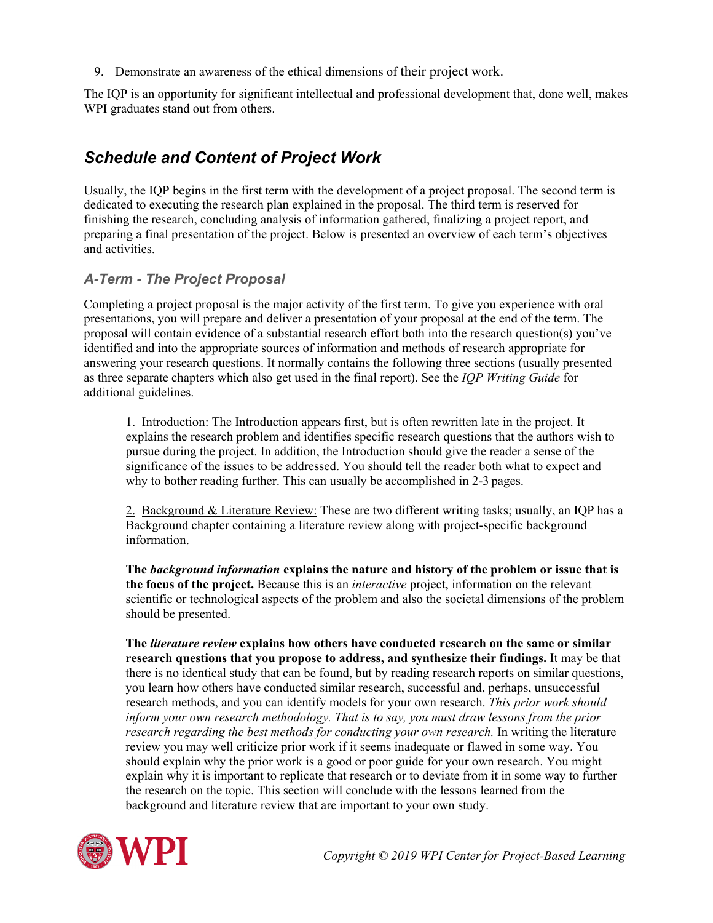9. Demonstrate an awareness of the ethical dimensions of their project work.

The IQP is an opportunity for significant intellectual and professional development that, done well, makes WPI graduates stand out from others.

## <span id="page-1-0"></span>*Schedule and Content of Project Work*

Usually, the IQP begins in the first term with the development of a project proposal. The second term is dedicated to executing the research plan explained in the proposal. The third term is reserved for finishing the research, concluding analysis of information gathered, finalizing a project report, and preparing a final presentation of the project. Below is presented an overview of each term's objectives and activities.

#### *A-Term - The Project Proposal*

Completing a project proposal is the major activity of the first term. To give you experience with oral presentations, you will prepare and deliver a presentation of your proposal at the end of the term. The proposal will contain evidence of a substantial research effort both into the research question(s) you've identified and into the appropriate sources of information and methods of research appropriate for answering your research questions. It normally contains the following three sections (usually presented as three separate chapters which also get used in the final report). See the *IQP Writing Guide* for additional guidelines.

1. Introduction: The Introduction appears first, but is often rewritten late in the project. It explains the research problem and identifies specific research questions that the authors wish to pursue during the project. In addition, the Introduction should give the reader a sense of the significance of the issues to be addressed. You should tell the reader both what to expect and why to bother reading further. This can usually be accomplished in 2-3 pages.

2. Background & Literature Review: These are two different writing tasks; usually, an IQP has a Background chapter containing a literature review along with project-specific background information.

**The** *background information* **explains the nature and history of the problem or issue that is the focus of the project.** Because this is an *interactive* project, information on the relevant scientific or technological aspects of the problem and also the societal dimensions of the problem should be presented.

**The** *literature review* **explains how others have conducted research on the same or similar research questions that you propose to address, and synthesize their findings.** It may be that there is no identical study that can be found, but by reading research reports on similar questions, you learn how others have conducted similar research, successful and, perhaps, unsuccessful research methods, and you can identify models for your own research. *This prior work should inform your own research methodology. That is to say, you must draw lessons from the prior research regarding the best methods for conducting your own research.* In writing the literature review you may well criticize prior work if it seems inadequate or flawed in some way. You should explain why the prior work is a good or poor guide for your own research. You might explain why it is important to replicate that research or to deviate from it in some way to further the research on the topic. This section will conclude with the lessons learned from the background and literature review that are important to your own study.

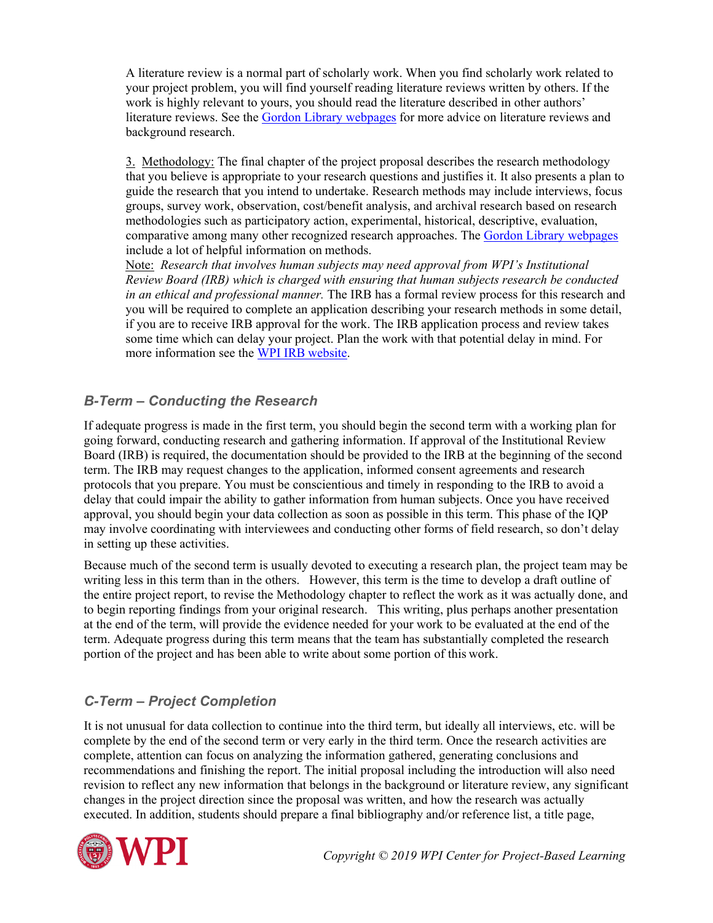A literature review is a normal part of scholarly work. When you find scholarly work related to your project problem, you will find yourself reading literature reviews written by others. If the work is highly relevant to yours, you should read the literature described in other authors' literature reviews. See the [Gordon Library webpages](http://libguides.wpi.edu/iqpresearch) for more advice on literature reviews and background research.

3. Methodology: The final chapter of the project proposal describes the research methodology that you believe is appropriate to your research questions and justifies it. It also presents a plan to guide the research that you intend to undertake. Research methods may include interviews, focus groups, survey work, observation, cost/benefit analysis, and archival research based on research methodologies such as participatory action, experimental, historical, descriptive, evaluation, comparative among many other recognized research approaches. The [Gordon Library webpages](http://libguides.wpi.edu/iqpresearch) include a lot of helpful information on methods.

Note: *Research that involves human subjects may need approval from WPI's Institutional Review Board (IRB) which is charged with ensuring that human subjects research be conducted in an ethical and professional manner.* The IRB has a formal review process for this research and you will be required to complete an application describing your research methods in some detail, if you are to receive IRB approval for the work. The IRB application process and review takes some time which can delay your project. Plan the work with that potential delay in mind. For more information see the [WPI IRB](http://www.wpi.edu/Admin/Research/IRB/) website.

#### *B-Term – Conducting the Research*

If adequate progress is made in the first term, you should begin the second term with a working plan for going forward, conducting research and gathering information. If approval of the Institutional Review Board (IRB) is required, the documentation should be provided to the IRB at the beginning of the second term. The IRB may request changes to the application, informed consent agreements and research protocols that you prepare. You must be conscientious and timely in responding to the IRB to avoid a delay that could impair the ability to gather information from human subjects. Once you have received approval, you should begin your data collection as soon as possible in this term. This phase of the IQP may involve coordinating with interviewees and conducting other forms of field research, so don't delay in setting up these activities.

Because much of the second term is usually devoted to executing a research plan, the project team may be writing less in this term than in the others. However, this term is the time to develop a draft outline of the entire project report, to revise the Methodology chapter to reflect the work as it was actually done, and to begin reporting findings from your original research. This writing, plus perhaps another presentation at the end of the term, will provide the evidence needed for your work to be evaluated at the end of the term. Adequate progress during this term means that the team has substantially completed the research portion of the project and has been able to write about some portion of this work.

#### *C-Term – Project Completion*

It is not unusual for data collection to continue into the third term, but ideally all interviews, etc. will be complete by the end of the second term or very early in the third term. Once the research activities are complete, attention can focus on analyzing the information gathered, generating conclusions and recommendations and finishing the report. The initial proposal including the introduction will also need revision to reflect any new information that belongs in the background or literature review, any significant changes in the project direction since the proposal was written, and how the research was actually executed. In addition, students should prepare a final bibliography and/or reference list, a title page,

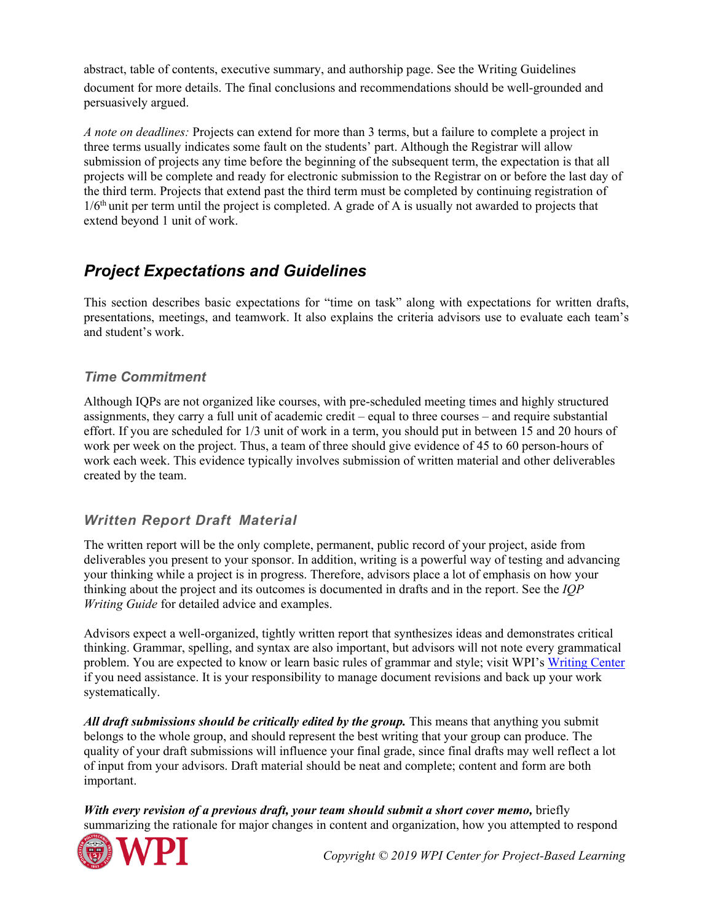abstract, table of contents, executive summary, and authorship page. See the Writing Guidelines document for more details. The final conclusions and recommendations should be well-grounded and persuasively argued.

*A note on deadlines:* Projects can extend for more than 3 terms, but a failure to complete a project in three terms usually indicates some fault on the students' part. Although the Registrar will allow submission of projects any time before the beginning of the subsequent term, the expectation is that all projects will be complete and ready for electronic submission to the Registrar on or before the last day of the third term. Projects that extend past the third term must be completed by continuing registration of 1/6<sup>th</sup> unit per term until the project is completed. A grade of A is usually not awarded to projects that extend beyond 1 unit of work.

## <span id="page-3-0"></span>*Project Expectations and Guidelines*

This section describes basic expectations for "time on task" along with expectations for written drafts, presentations, meetings, and teamwork. It also explains the criteria advisors use to evaluate each team's and student's work.

#### *Time Commitment*

Although IQPs are not organized like courses, with pre-scheduled meeting times and highly structured assignments, they carry a full unit of academic credit – equal to three courses – and require substantial effort. If you are scheduled for 1/3 unit of work in a term, you should put in between 15 and 20 hours of work per week on the project. Thus, a team of three should give evidence of 45 to 60 person-hours of work each week. This evidence typically involves submission of written material and other deliverables created by the team.

#### *Written Report Draft Material*

The written report will be the only complete, permanent, public record of your project, aside from deliverables you present to your sponsor. In addition, writing is a powerful way of testing and advancing your thinking while a project is in progress. Therefore, advisors place a lot of emphasis on how your thinking about the project and its outcomes is documented in drafts and in the report. See the *IQP Writing Guide* for detailed advice and examples.

Advisors expect a well-organized, tightly written report that synthesizes ideas and demonstrates critical thinking. Grammar, spelling, and syntax are also important, but advisors will not note every grammatical problem. You are expected to know or learn basic rules of grammar and style; visit WPI's [Writing Center](https://www.wpi.edu/Admin/WC/) if you need assistance. It is your responsibility to manage document revisions and back up your work systematically.

All draft submissions should be critically edited by the group. This means that anything you submit belongs to the whole group, and should represent the best writing that your group can produce. The quality of your draft submissions will influence your final grade, since final drafts may well reflect a lot of input from your advisors. Draft material should be neat and complete; content and form are both important.

*With every revision of a previous draft, your team should submit a short cover memo, briefly* summarizing the rationale for major changes in content and organization, how you attempted to respond

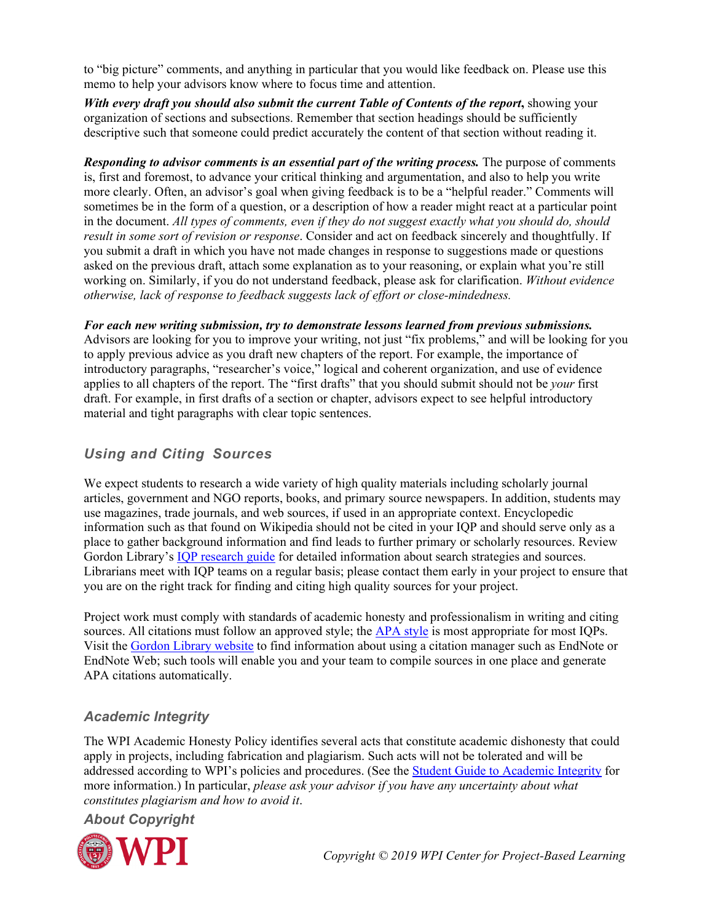to "big picture" comments, and anything in particular that you would like feedback on. Please use this memo to help your advisors know where to focus time and attention.

*With every draft you should also submit the current Table of Contents of the report***,** showing your organization of sections and subsections. Remember that section headings should be sufficiently descriptive such that someone could predict accurately the content of that section without reading it.

*Responding to advisor comments is an essential part of the writing process.* The purpose of comments is, first and foremost, to advance your critical thinking and argumentation, and also to help you write more clearly. Often, an advisor's goal when giving feedback is to be a "helpful reader." Comments will sometimes be in the form of a question, or a description of how a reader might react at a particular point in the document. *All types of comments, even if they do not suggest exactly what you should do, should result in some sort of revision or response*. Consider and act on feedback sincerely and thoughtfully. If you submit a draft in which you have not made changes in response to suggestions made or questions asked on the previous draft, attach some explanation as to your reasoning, or explain what you're still working on. Similarly, if you do not understand feedback, please ask for clarification. *Without evidence otherwise, lack of response to feedback suggests lack of effort or close-mindedness.*

*For each new writing submission, try to demonstrate lessons learned from previous submissions.*  Advisors are looking for you to improve your writing, not just "fix problems," and will be looking for you to apply previous advice as you draft new chapters of the report. For example, the importance of introductory paragraphs, "researcher's voice," logical and coherent organization, and use of evidence applies to all chapters of the report. The "first drafts" that you should submit should not be *your* first draft. For example, in first drafts of a section or chapter, advisors expect to see helpful introductory material and tight paragraphs with clear topic sentences.

### *Using and Citing Sources*

We expect students to research a wide variety of high quality materials including scholarly journal articles, government and NGO reports, books, and primary source newspapers. In addition, students may use magazines, trade journals, and web sources, if used in an appropriate context. Encyclopedic information such as that found on Wikipedia should not be cited in your IQP and should serve only as a place to gather background information and find leads to further primary or scholarly resources. Review Gordon Library's [IQP research guide](http://libguides.wpi.edu/iqpresearch) for detailed information about search strategies and sources. Librarians meet with IQP teams on a regular basis; please contact them early in your project to ensure that you are on the right track for finding and citing high quality sources for your project.

Project work must comply with standards of academic honesty and professionalism in writing and citing sources. All citations must follow an approved style; the [APA style](http://apastyle.apa.org/) is most appropriate for most IQPs. Visit the [Gordon Library website](https://www.wpi.edu/academics/library/help/citation-tools.html) to find information about using a citation manager such as EndNote or EndNote Web; such tools will enable you and your team to compile sources in one place and generate APA citations automatically.

## *Academic Integrity*

The WPI Academic Honesty Policy identifies several acts that constitute academic dishonesty that could apply in projects, including fabrication and plagiarism. Such acts will not be tolerated and will be addressed according to WPI's policies and procedures. (See the [Student Guide to Academic Integrity](http://www.wpi.edu/offices/policies/honesty/studentguide.html) for more information.) In particular, *please ask your advisor if you have any uncertainty about what constitutes plagiarism and how to avoid it*.

*About Copyright*

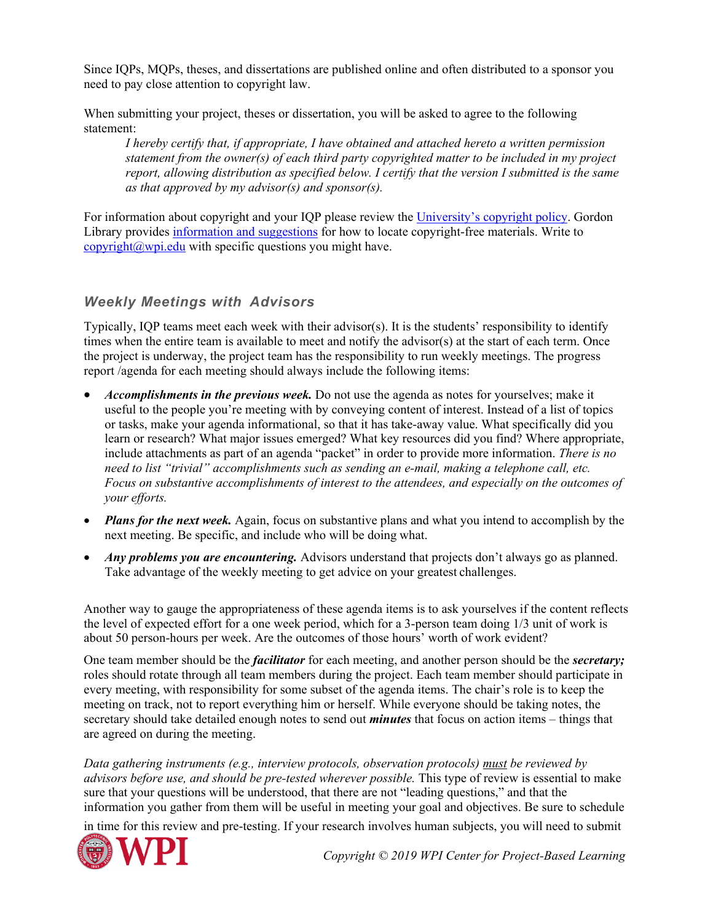Since IQPs, MQPs, theses, and dissertations are published online and often distributed to a sponsor you need to pay close attention to copyright law.

When submitting your project, theses or dissertation, you will be asked to agree to the following statement:

*I hereby certify that, if appropriate, I have obtained and attached hereto a written permission statement from the owner(s) of each third party copyrighted matter to be included in my project report, allowing distribution as specified below. I certify that the version I submitted is the same as that approved by my advisor(s) and sponsor(s).*

For information about copyright and your IQP please review the [University's copyright policy.](http://www.wpi.edu/offices/policies/students-projects.html) Gordon Library provides [information and suggestions](http://libguides.wpi.edu/copyright) for how to locate copyright-free materials. Write to [copyright@wpi.edu](mailto:copyright@wpi.edu) with specific questions you might have.

#### *Weekly Meetings with Advisors*

Typically, IQP teams meet each week with their advisor(s). It is the students' responsibility to identify times when the entire team is available to meet and notify the advisor(s) at the start of each term. Once the project is underway, the project team has the responsibility to run weekly meetings. The progress report /agenda for each meeting should always include the following items:

- *Accomplishments in the previous week.* Do not use the agenda as notes for yourselves; make it useful to the people you're meeting with by conveying content of interest. Instead of a list of topics or tasks, make your agenda informational, so that it has take-away value. What specifically did you learn or research? What major issues emerged? What key resources did you find? Where appropriate, include attachments as part of an agenda "packet" in order to provide more information. *There is no need to list "trivial" accomplishments such as sending an e-mail, making a telephone call, etc. Focus on substantive accomplishments of interest to the attendees, and especially on the outcomes of your efforts.*
- *Plans for the next week.* Again, focus on substantive plans and what you intend to accomplish by the next meeting. Be specific, and include who will be doing what.
- *Any problems you are encountering.* Advisors understand that projects don't always go as planned. Take advantage of the weekly meeting to get advice on your greatest challenges.

Another way to gauge the appropriateness of these agenda items is to ask yourselves if the content reflects the level of expected effort for a one week period, which for a 3-person team doing 1/3 unit of work is about 50 person-hours per week. Are the outcomes of those hours' worth of work evident?

One team member should be the *facilitator* for each meeting, and another person should be the *secretary;*  roles should rotate through all team members during the project. Each team member should participate in every meeting, with responsibility for some subset of the agenda items. The chair's role is to keep the meeting on track, not to report everything him or herself. While everyone should be taking notes, the secretary should take detailed enough notes to send out *minutes* that focus on action items – things that are agreed on during the meeting.

*Data gathering instruments (e.g., interview protocols, observation protocols) must be reviewed by advisors before use, and should be pre-tested wherever possible.* This type of review is essential to make sure that your questions will be understood, that there are not "leading questions," and that the information you gather from them will be useful in meeting your goal and objectives. Be sure to schedule

in time for this review and pre-testing. If your research involves human subjects, you will need to submit

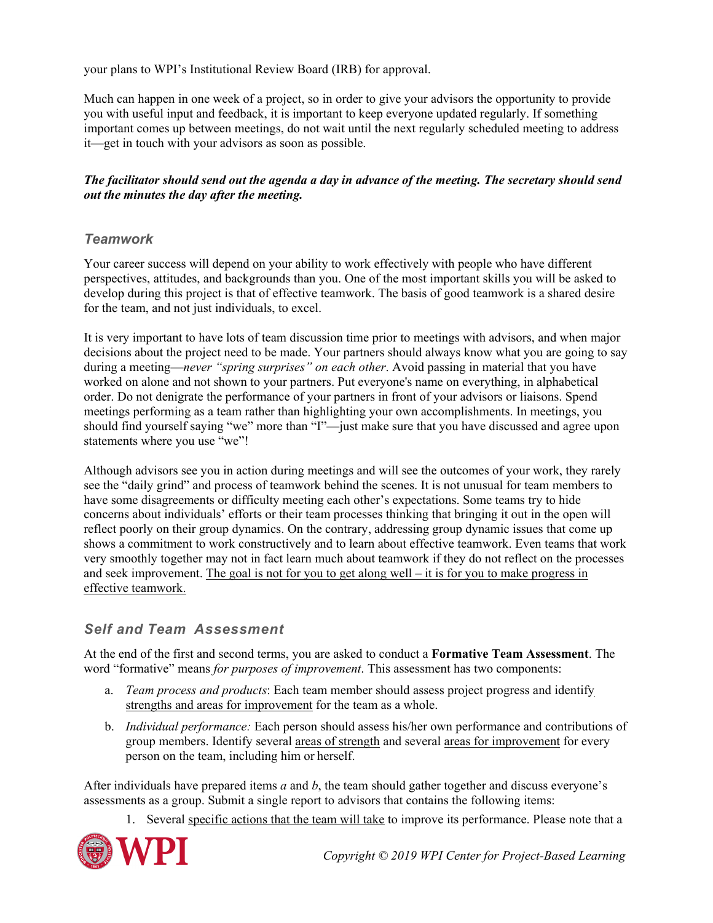your plans to WPI's Institutional Review Board (IRB) for approval.

Much can happen in one week of a project, so in order to give your advisors the opportunity to provide you with useful input and feedback, it is important to keep everyone updated regularly. If something important comes up between meetings, do not wait until the next regularly scheduled meeting to address it—get in touch with your advisors as soon as possible.

#### *The facilitator should send out the agenda a day in advance of the meeting. The secretary should send out the minutes the day after the meeting.*

#### *Teamwork*

Your career success will depend on your ability to work effectively with people who have different perspectives, attitudes, and backgrounds than you. One of the most important skills you will be asked to develop during this project is that of effective teamwork. The basis of good teamwork is a shared desire for the team, and not just individuals, to excel.

It is very important to have lots of team discussion time prior to meetings with advisors, and when major decisions about the project need to be made. Your partners should always know what you are going to say during a meeting—*never "spring surprises" on each other*. Avoid passing in material that you have worked on alone and not shown to your partners. Put everyone's name on everything, in alphabetical order. Do not denigrate the performance of your partners in front of your advisors or liaisons. Spend meetings performing as a team rather than highlighting your own accomplishments. In meetings, you should find yourself saying "we" more than "I"—just make sure that you have discussed and agree upon statements where you use "we"!

Although advisors see you in action during meetings and will see the outcomes of your work, they rarely see the "daily grind" and process of teamwork behind the scenes. It is not unusual for team members to have some disagreements or difficulty meeting each other's expectations. Some teams try to hide concerns about individuals' efforts or their team processes thinking that bringing it out in the open will reflect poorly on their group dynamics. On the contrary, addressing group dynamic issues that come up shows a commitment to work constructively and to learn about effective teamwork. Even teams that work very smoothly together may not in fact learn much about teamwork if they do not reflect on the processes and seek improvement. The goal is not for you to get along well – it is for you to make progress in effective teamwork.

#### *Self and Team Assessment*

At the end of the first and second terms, you are asked to conduct a **Formative Team Assessment**. The word "formative" means *for purposes of improvement*. This assessment has two components:

- a. *Team process and products*: Each team member should assess project progress and identify strengths and areas for improvement for the team as a whole.
- b. *Individual performance:* Each person should assess his/her own performance and contributions of group members. Identify several areas of strength and several areas for improvement for every person on the team, including him or herself.

After individuals have prepared items *a* and *b*, the team should gather together and discuss everyone's assessments as a group. Submit a single report to advisors that contains the following items:

1. Several specific actions that the team will take to improve its performance. Please note that a

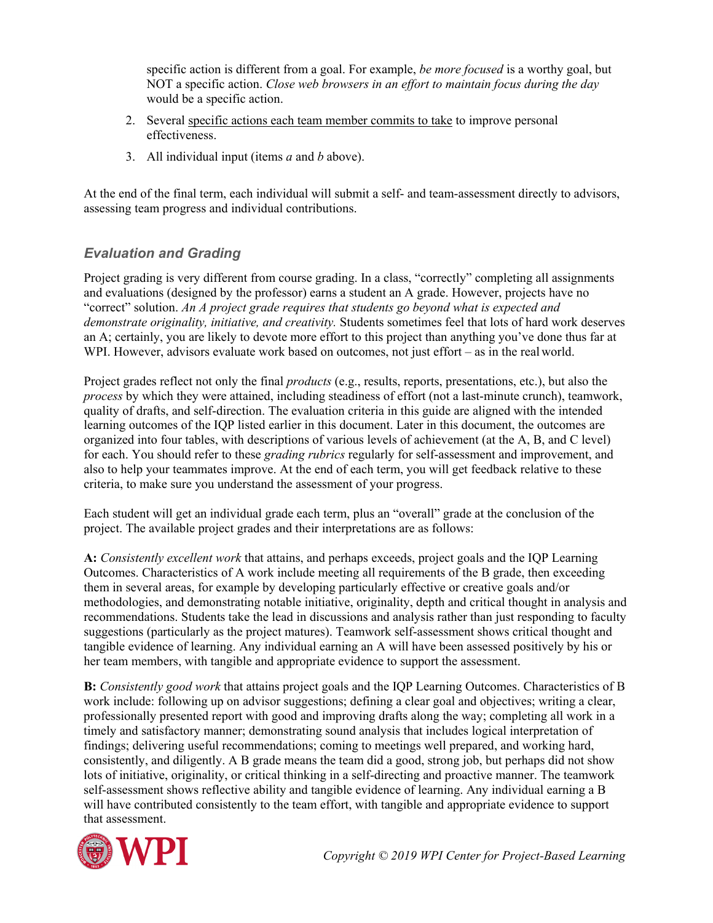specific action is different from a goal. For example, *be more focused* is a worthy goal, but NOT a specific action. *Close web browsers in an effort to maintain focus during the day*  would be a specific action.

- 2. Several specific actions each team member commits to take to improve personal effectiveness.
- 3. All individual input (items *a* and *b* above).

At the end of the final term, each individual will submit a self- and team-assessment directly to advisors, assessing team progress and individual contributions.

### *Evaluation and Grading*

Project grading is very different from course grading. In a class, "correctly" completing all assignments and evaluations (designed by the professor) earns a student an A grade. However, projects have no "correct" solution. *An A project grade requires that students go beyond what is expected and demonstrate originality, initiative, and creativity.* Students sometimes feel that lots of hard work deserves an A; certainly, you are likely to devote more effort to this project than anything you've done thus far at WPI. However, advisors evaluate work based on outcomes, not just effort – as in the real world.

Project grades reflect not only the final *products* (e.g., results, reports, presentations, etc.), but also the *process* by which they were attained, including steadiness of effort (not a last-minute crunch), teamwork, quality of drafts, and self-direction. The evaluation criteria in this guide are aligned with the intended learning outcomes of the IQP listed earlier in this document. Later in this document, the outcomes are organized into four tables, with descriptions of various levels of achievement (at the A, B, and C level) for each. You should refer to these *grading rubrics* regularly for self-assessment and improvement, and also to help your teammates improve. At the end of each term, you will get feedback relative to these criteria, to make sure you understand the assessment of your progress.

Each student will get an individual grade each term, plus an "overall" grade at the conclusion of the project. The available project grades and their interpretations are as follows:

**A:** *Consistently excellent work* that attains, and perhaps exceeds, project goals and the IQP Learning Outcomes. Characteristics of A work include meeting all requirements of the B grade, then exceeding them in several areas, for example by developing particularly effective or creative goals and/or methodologies, and demonstrating notable initiative, originality, depth and critical thought in analysis and recommendations. Students take the lead in discussions and analysis rather than just responding to faculty suggestions (particularly as the project matures). Teamwork self-assessment shows critical thought and tangible evidence of learning. Any individual earning an A will have been assessed positively by his or her team members, with tangible and appropriate evidence to support the assessment.

**B:** *Consistently good work* that attains project goals and the IQP Learning Outcomes. Characteristics of B work include: following up on advisor suggestions; defining a clear goal and objectives; writing a clear, professionally presented report with good and improving drafts along the way; completing all work in a timely and satisfactory manner; demonstrating sound analysis that includes logical interpretation of findings; delivering useful recommendations; coming to meetings well prepared, and working hard, consistently, and diligently. A B grade means the team did a good, strong job, but perhaps did not show lots of initiative, originality, or critical thinking in a self-directing and proactive manner. The teamwork self-assessment shows reflective ability and tangible evidence of learning. Any individual earning a B will have contributed consistently to the team effort, with tangible and appropriate evidence to support that assessment.

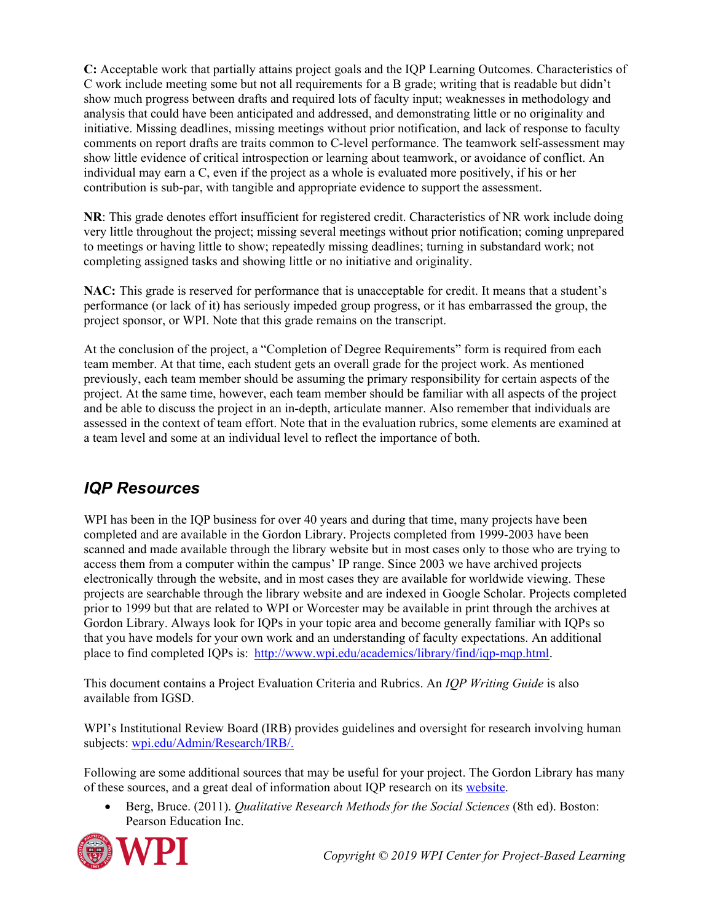**C:** Acceptable work that partially attains project goals and the IQP Learning Outcomes. Characteristics of C work include meeting some but not all requirements for a B grade; writing that is readable but didn't show much progress between drafts and required lots of faculty input; weaknesses in methodology and analysis that could have been anticipated and addressed, and demonstrating little or no originality and initiative. Missing deadlines, missing meetings without prior notification, and lack of response to faculty comments on report drafts are traits common to C-level performance. The teamwork self-assessment may show little evidence of critical introspection or learning about teamwork, or avoidance of conflict. An individual may earn a C, even if the project as a whole is evaluated more positively, if his or her contribution is sub-par, with tangible and appropriate evidence to support the assessment.

**NR**: This grade denotes effort insufficient for registered credit. Characteristics of NR work include doing very little throughout the project; missing several meetings without prior notification; coming unprepared to meetings or having little to show; repeatedly missing deadlines; turning in substandard work; not completing assigned tasks and showing little or no initiative and originality.

**NAC:** This grade is reserved for performance that is unacceptable for credit. It means that a student's performance (or lack of it) has seriously impeded group progress, or it has embarrassed the group, the project sponsor, or WPI. Note that this grade remains on the transcript.

At the conclusion of the project, a "Completion of Degree Requirements" form is required from each team member. At that time, each student gets an overall grade for the project work. As mentioned previously, each team member should be assuming the primary responsibility for certain aspects of the project. At the same time, however, each team member should be familiar with all aspects of the project and be able to discuss the project in an in-depth, articulate manner. Also remember that individuals are assessed in the context of team effort. Note that in the evaluation rubrics, some elements are examined at a team level and some at an individual level to reflect the importance of both.

## <span id="page-8-0"></span>*IQP Resources*

WPI has been in the IQP business for over 40 years and during that time, many projects have been completed and are available in the Gordon Library. Projects completed from 1999-2003 have been scanned and made available through the library website but in most cases only to those who are trying to access them from a computer within the campus' IP range. Since 2003 we have archived projects electronically through the website, and in most cases they are available for worldwide viewing. These projects are searchable through the library website and are indexed in Google Scholar. Projects completed prior to 1999 but that are related to WPI or Worcester may be available in print through the archives at Gordon Library. Always look for IQPs in your topic area and become generally familiar with IQPs so that you have models for your own work and an understanding of faculty expectations. An additional place to find completed IQPs is: [http://www.wpi.edu/academics/library/find/iqp-mqp.html.](http://www.wpi.edu/academics/library/find/iqp-mqp.html)

This document contains a Project Evaluation Criteria and Rubrics. An *IQP Writing Guide* is also available from IGSD.

WPI's Institutional Review Board (IRB) provides guidelines and oversight for research involving human subjects: [wpi.edu/Admin/Research/IRB/.](http://www.wpi.edu/Admin/Research/IRB/)

Following are some additional sources that may be useful for your project. The Gordon Library has many of these sources, and a great deal of information about IQP research on its [website.](http://libguides.wpi.edu/iqpresearch)

• Berg, Bruce. (2011). *Qualitative Research Methods for the Social Sciences* (8th ed). Boston: Pearson Education Inc.

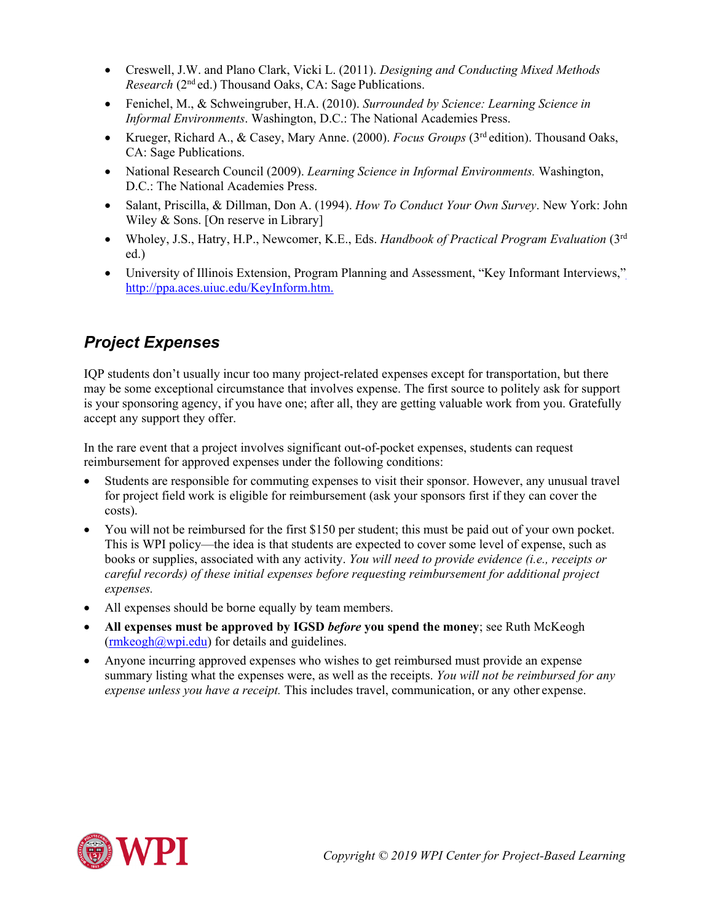- Creswell, J.W. and Plano Clark, Vicki L. (2011). *Designing and Conducting Mixed Methods Research* (2<sup>nd</sup> ed.) Thousand Oaks, CA: Sage Publications.
- Fenichel, M., & Schweingruber, H.A. (2010). *Surrounded by Science: Learning Science in Informal Environments*. Washington, D.C.: The National Academies Press.
- Krueger, Richard A., & Casey, Mary Anne. (2000). *Focus Groups* (3rd edition). Thousand Oaks, CA: Sage Publications.
- National Research Council (2009). *Learning Science in Informal Environments.* Washington, D.C.: The National Academies Press.
- Salant, Priscilla, & Dillman, Don A. (1994). *How To Conduct Your Own Survey*. New York: John Wiley & Sons. [On reserve in Library]
- Wholey, J.S., Hatry, H.P., Newcomer, K.E., Eds. *Handbook of Practical Program Evaluation* (3rd ed.)
- University of Illinois Extension, Program Planning and Assessment, "Key Informant Interviews," [http://ppa.aces.uiuc.edu/KeyInform.htm.](http://ppa.aces.uiuc.edu/KeyInform.htm)

# <span id="page-9-0"></span>*Project Expenses*

IQP students don't usually incur too many project-related expenses except for transportation, but there may be some exceptional circumstance that involves expense. The first source to politely ask for support is your sponsoring agency, if you have one; after all, they are getting valuable work from you. Gratefully accept any support they offer.

In the rare event that a project involves significant out-of-pocket expenses, students can request reimbursement for approved expenses under the following conditions:

- Students are responsible for commuting expenses to visit their sponsor. However, any unusual travel for project field work is eligible for reimbursement (ask your sponsors first if they can cover the costs).
- You will not be reimbursed for the first \$150 per student; this must be paid out of your own pocket. This is WPI policy—the idea is that students are expected to cover some level of expense, such as books or supplies, associated with any activity. *You will need to provide evidence (i.e., receipts or careful records) of these initial expenses before requesting reimbursement for additional project expenses.*
- All expenses should be borne equally by team members.
- **All expenses must be approved by IGSD** *before* **you spend the money**; see Ruth McKeogh  $(rmkeogh@wpi.edu)$  for details and guidelines.
- Anyone incurring approved expenses who wishes to get reimbursed must provide an expense summary listing what the expenses were, as well as the receipts. *You will not be reimbursed for any expense unless you have a receipt.* This includes travel, communication, or any other expense.

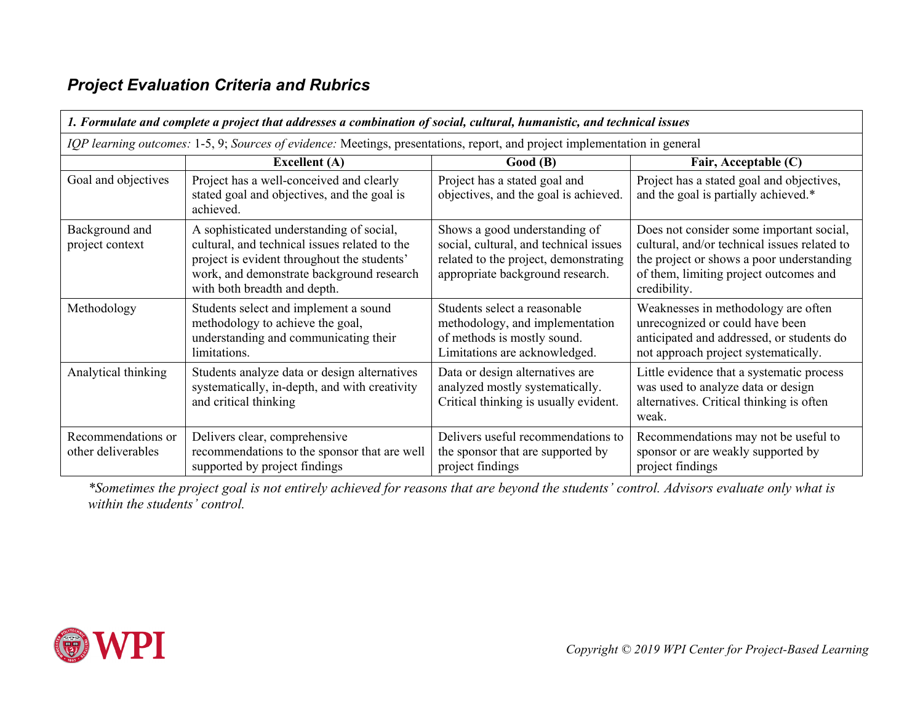# *Project Evaluation Criteria and Rubrics*

<span id="page-10-0"></span>

| 1. Formulate and complete a project that addresses a combination of social, cultural, humanistic, and technical issues     |                                                                                                                                                                                                                       |                                                                                                                                                      |                                                                                                                                                                                                 |
|----------------------------------------------------------------------------------------------------------------------------|-----------------------------------------------------------------------------------------------------------------------------------------------------------------------------------------------------------------------|------------------------------------------------------------------------------------------------------------------------------------------------------|-------------------------------------------------------------------------------------------------------------------------------------------------------------------------------------------------|
| IQP learning outcomes: 1-5, 9; Sources of evidence: Meetings, presentations, report, and project implementation in general |                                                                                                                                                                                                                       |                                                                                                                                                      |                                                                                                                                                                                                 |
|                                                                                                                            | <b>Excellent</b> (A)                                                                                                                                                                                                  | Good(B)                                                                                                                                              | Fair, Acceptable (C)                                                                                                                                                                            |
| Goal and objectives                                                                                                        | Project has a well-conceived and clearly<br>stated goal and objectives, and the goal is<br>achieved.                                                                                                                  | Project has a stated goal and<br>objectives, and the goal is achieved.                                                                               | Project has a stated goal and objectives,<br>and the goal is partially achieved.*                                                                                                               |
| Background and<br>project context                                                                                          | A sophisticated understanding of social,<br>cultural, and technical issues related to the<br>project is evident throughout the students'<br>work, and demonstrate background research<br>with both breadth and depth. | Shows a good understanding of<br>social, cultural, and technical issues<br>related to the project, demonstrating<br>appropriate background research. | Does not consider some important social,<br>cultural, and/or technical issues related to<br>the project or shows a poor understanding<br>of them, limiting project outcomes and<br>credibility. |
| Methodology                                                                                                                | Students select and implement a sound<br>methodology to achieve the goal,<br>understanding and communicating their<br>limitations.                                                                                    | Students select a reasonable<br>methodology, and implementation<br>of methods is mostly sound.<br>Limitations are acknowledged.                      | Weaknesses in methodology are often<br>unrecognized or could have been<br>anticipated and addressed, or students do<br>not approach project systematically.                                     |
| Analytical thinking                                                                                                        | Students analyze data or design alternatives<br>systematically, in-depth, and with creativity<br>and critical thinking                                                                                                | Data or design alternatives are<br>analyzed mostly systematically.<br>Critical thinking is usually evident.                                          | Little evidence that a systematic process<br>was used to analyze data or design<br>alternatives. Critical thinking is often<br>weak.                                                            |
| Recommendations or<br>other deliverables                                                                                   | Delivers clear, comprehensive<br>recommendations to the sponsor that are well<br>supported by project findings                                                                                                        | Delivers useful recommendations to<br>the sponsor that are supported by<br>project findings                                                          | Recommendations may not be useful to<br>sponsor or are weakly supported by<br>project findings                                                                                                  |

*\*Sometimes the project goal is not entirely achieved for reasons that are beyond the students' control. Advisors evaluate only what is within the students' control.*

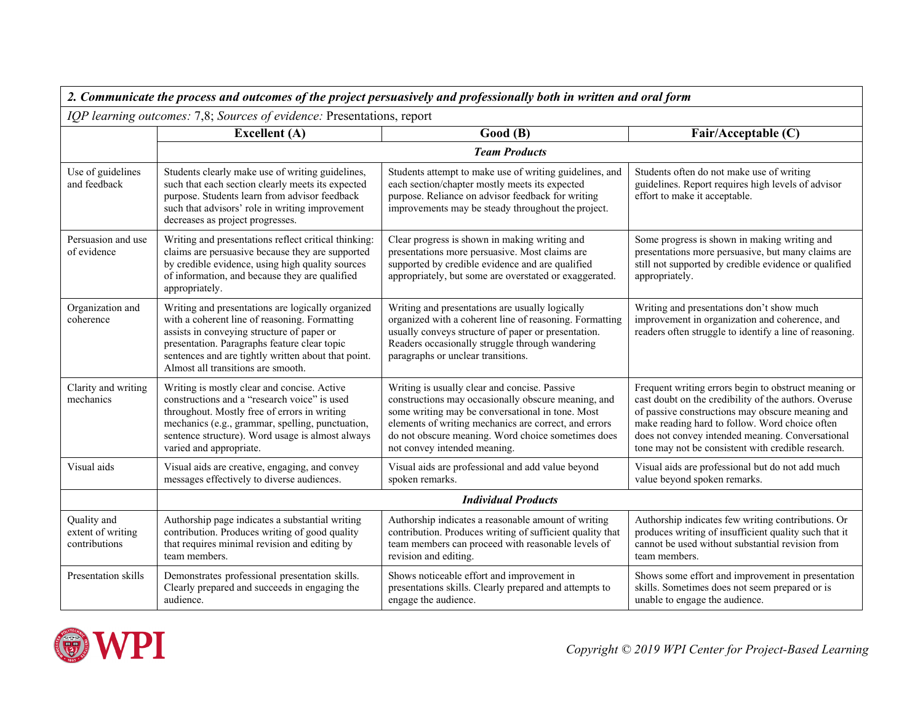| 2. Communicate the process and outcomes of the project persuasively and professionally both in written and oral form |                                                                                                                                                                                                                                                                                               |                                                                                                                                                                                                                                                                                                         |                                                                                                                                                                                                                                                                                                                               |
|----------------------------------------------------------------------------------------------------------------------|-----------------------------------------------------------------------------------------------------------------------------------------------------------------------------------------------------------------------------------------------------------------------------------------------|---------------------------------------------------------------------------------------------------------------------------------------------------------------------------------------------------------------------------------------------------------------------------------------------------------|-------------------------------------------------------------------------------------------------------------------------------------------------------------------------------------------------------------------------------------------------------------------------------------------------------------------------------|
| IQP learning outcomes: 7,8; Sources of evidence: Presentations, report                                               |                                                                                                                                                                                                                                                                                               |                                                                                                                                                                                                                                                                                                         |                                                                                                                                                                                                                                                                                                                               |
|                                                                                                                      | <b>Excellent</b> (A)                                                                                                                                                                                                                                                                          | Good(B)                                                                                                                                                                                                                                                                                                 | Fair/Acceptable (C)                                                                                                                                                                                                                                                                                                           |
|                                                                                                                      | <b>Team Products</b>                                                                                                                                                                                                                                                                          |                                                                                                                                                                                                                                                                                                         |                                                                                                                                                                                                                                                                                                                               |
| Use of guidelines<br>and feedback                                                                                    | Students clearly make use of writing guidelines,<br>such that each section clearly meets its expected<br>purpose. Students learn from advisor feedback<br>such that advisors' role in writing improvement<br>decreases as project progresses.                                                 | Students attempt to make use of writing guidelines, and<br>each section/chapter mostly meets its expected<br>purpose. Reliance on advisor feedback for writing<br>improvements may be steady throughout the project.                                                                                    | Students often do not make use of writing<br>guidelines. Report requires high levels of advisor<br>effort to make it acceptable.                                                                                                                                                                                              |
| Persuasion and use<br>of evidence                                                                                    | Writing and presentations reflect critical thinking:<br>claims are persuasive because they are supported<br>by credible evidence, using high quality sources<br>of information, and because they are qualified<br>appropriately.                                                              | Clear progress is shown in making writing and<br>presentations more persuasive. Most claims are<br>supported by credible evidence and are qualified<br>appropriately, but some are overstated or exaggerated.                                                                                           | Some progress is shown in making writing and<br>presentations more persuasive, but many claims are<br>still not supported by credible evidence or qualified<br>appropriately.                                                                                                                                                 |
| Organization and<br>coherence                                                                                        | Writing and presentations are logically organized<br>with a coherent line of reasoning. Formatting<br>assists in conveying structure of paper or<br>presentation. Paragraphs feature clear topic<br>sentences and are tightly written about that point.<br>Almost all transitions are smooth. | Writing and presentations are usually logically<br>organized with a coherent line of reasoning. Formatting<br>usually conveys structure of paper or presentation.<br>Readers occasionally struggle through wandering<br>paragraphs or unclear transitions.                                              | Writing and presentations don't show much<br>improvement in organization and coherence, and<br>readers often struggle to identify a line of reasoning.                                                                                                                                                                        |
| Clarity and writing<br>mechanics                                                                                     | Writing is mostly clear and concise. Active<br>constructions and a "research voice" is used<br>throughout. Mostly free of errors in writing<br>mechanics (e.g., grammar, spelling, punctuation,<br>sentence structure). Word usage is almost always<br>varied and appropriate.                | Writing is usually clear and concise. Passive<br>constructions may occasionally obscure meaning, and<br>some writing may be conversational in tone. Most<br>elements of writing mechanics are correct, and errors<br>do not obscure meaning. Word choice sometimes does<br>not convey intended meaning. | Frequent writing errors begin to obstruct meaning or<br>cast doubt on the credibility of the authors. Overuse<br>of passive constructions may obscure meaning and<br>make reading hard to follow. Word choice often<br>does not convey intended meaning. Conversational<br>tone may not be consistent with credible research. |
| Visual aids                                                                                                          | Visual aids are creative, engaging, and convey<br>messages effectively to diverse audiences.                                                                                                                                                                                                  | Visual aids are professional and add value beyond<br>spoken remarks.                                                                                                                                                                                                                                    | Visual aids are professional but do not add much<br>value beyond spoken remarks.                                                                                                                                                                                                                                              |
|                                                                                                                      | <b>Individual Products</b>                                                                                                                                                                                                                                                                    |                                                                                                                                                                                                                                                                                                         |                                                                                                                                                                                                                                                                                                                               |
| Quality and<br>extent of writing<br>contributions                                                                    | Authorship page indicates a substantial writing<br>contribution. Produces writing of good quality<br>that requires minimal revision and editing by<br>team members.                                                                                                                           | Authorship indicates a reasonable amount of writing<br>contribution. Produces writing of sufficient quality that<br>team members can proceed with reasonable levels of<br>revision and editing.                                                                                                         | Authorship indicates few writing contributions. Or<br>produces writing of insufficient quality such that it<br>cannot be used without substantial revision from<br>team members.                                                                                                                                              |
| Presentation skills                                                                                                  | Demonstrates professional presentation skills.<br>Clearly prepared and succeeds in engaging the<br>audience.                                                                                                                                                                                  | Shows noticeable effort and improvement in<br>presentations skills. Clearly prepared and attempts to<br>engage the audience.                                                                                                                                                                            | Shows some effort and improvement in presentation<br>skills. Sometimes does not seem prepared or is<br>unable to engage the audience.                                                                                                                                                                                         |

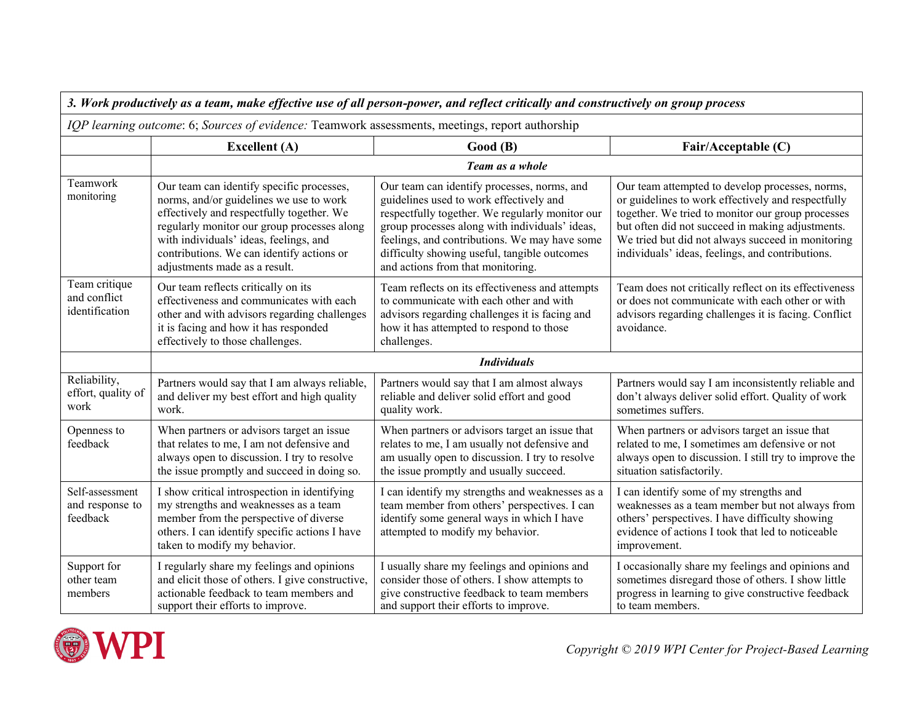| 3. Work productively as a team, make effective use of all person-power, and reflect critically and constructively on group process |                                                                                                                                                                                                                                                                                                          |                                                                                                                                                                                                                                                                                                                                   |                                                                                                                                                                                                                                                                                                                         |
|------------------------------------------------------------------------------------------------------------------------------------|----------------------------------------------------------------------------------------------------------------------------------------------------------------------------------------------------------------------------------------------------------------------------------------------------------|-----------------------------------------------------------------------------------------------------------------------------------------------------------------------------------------------------------------------------------------------------------------------------------------------------------------------------------|-------------------------------------------------------------------------------------------------------------------------------------------------------------------------------------------------------------------------------------------------------------------------------------------------------------------------|
| IQP learning outcome: 6; Sources of evidence: Teamwork assessments, meetings, report authorship                                    |                                                                                                                                                                                                                                                                                                          |                                                                                                                                                                                                                                                                                                                                   |                                                                                                                                                                                                                                                                                                                         |
|                                                                                                                                    | <b>Excellent</b> (A)                                                                                                                                                                                                                                                                                     | Good(B)                                                                                                                                                                                                                                                                                                                           | Fair/Acceptable (C)                                                                                                                                                                                                                                                                                                     |
|                                                                                                                                    | Team as a whole                                                                                                                                                                                                                                                                                          |                                                                                                                                                                                                                                                                                                                                   |                                                                                                                                                                                                                                                                                                                         |
| Teamwork<br>monitoring                                                                                                             | Our team can identify specific processes,<br>norms, and/or guidelines we use to work<br>effectively and respectfully together. We<br>regularly monitor our group processes along<br>with individuals' ideas, feelings, and<br>contributions. We can identify actions or<br>adjustments made as a result. | Our team can identify processes, norms, and<br>guidelines used to work effectively and<br>respectfully together. We regularly monitor our<br>group processes along with individuals' ideas,<br>feelings, and contributions. We may have some<br>difficulty showing useful, tangible outcomes<br>and actions from that monitoring. | Our team attempted to develop processes, norms,<br>or guidelines to work effectively and respectfully<br>together. We tried to monitor our group processes<br>but often did not succeed in making adjustments.<br>We tried but did not always succeed in monitoring<br>individuals' ideas, feelings, and contributions. |
| Team critique<br>and conflict<br>identification                                                                                    | Our team reflects critically on its<br>effectiveness and communicates with each<br>other and with advisors regarding challenges<br>it is facing and how it has responded<br>effectively to those challenges.                                                                                             | Team reflects on its effectiveness and attempts<br>to communicate with each other and with<br>advisors regarding challenges it is facing and<br>how it has attempted to respond to those<br>challenges.                                                                                                                           | Team does not critically reflect on its effectiveness<br>or does not communicate with each other or with<br>advisors regarding challenges it is facing. Conflict<br>avoidance.                                                                                                                                          |
|                                                                                                                                    |                                                                                                                                                                                                                                                                                                          | <b>Individuals</b>                                                                                                                                                                                                                                                                                                                |                                                                                                                                                                                                                                                                                                                         |
| Reliability,<br>effort, quality of<br>work                                                                                         | Partners would say that I am always reliable,<br>and deliver my best effort and high quality<br>work.                                                                                                                                                                                                    | Partners would say that I am almost always<br>reliable and deliver solid effort and good<br>quality work.                                                                                                                                                                                                                         | Partners would say I am inconsistently reliable and<br>don't always deliver solid effort. Quality of work<br>sometimes suffers.                                                                                                                                                                                         |
| Openness to<br>feedback                                                                                                            | When partners or advisors target an issue<br>that relates to me, I am not defensive and<br>always open to discussion. I try to resolve<br>the issue promptly and succeed in doing so.                                                                                                                    | When partners or advisors target an issue that<br>relates to me, I am usually not defensive and<br>am usually open to discussion. I try to resolve<br>the issue promptly and usually succeed.                                                                                                                                     | When partners or advisors target an issue that<br>related to me, I sometimes am defensive or not<br>always open to discussion. I still try to improve the<br>situation satisfactorily.                                                                                                                                  |
| Self-assessment<br>and response to<br>feedback                                                                                     | I show critical introspection in identifying<br>my strengths and weaknesses as a team<br>member from the perspective of diverse<br>others. I can identify specific actions I have<br>taken to modify my behavior.                                                                                        | I can identify my strengths and weaknesses as a<br>team member from others' perspectives. I can<br>identify some general ways in which I have<br>attempted to modify my behavior.                                                                                                                                                 | I can identify some of my strengths and<br>weaknesses as a team member but not always from<br>others' perspectives. I have difficulty showing<br>evidence of actions I took that led to noticeable<br>improvement.                                                                                                      |
| Support for<br>other team<br>members                                                                                               | I regularly share my feelings and opinions<br>and elicit those of others. I give constructive,<br>actionable feedback to team members and<br>support their efforts to improve.                                                                                                                           | I usually share my feelings and opinions and<br>consider those of others. I show attempts to<br>give constructive feedback to team members<br>and support their efforts to improve.                                                                                                                                               | I occasionally share my feelings and opinions and<br>sometimes disregard those of others. I show little<br>progress in learning to give constructive feedback<br>to team members.                                                                                                                                       |

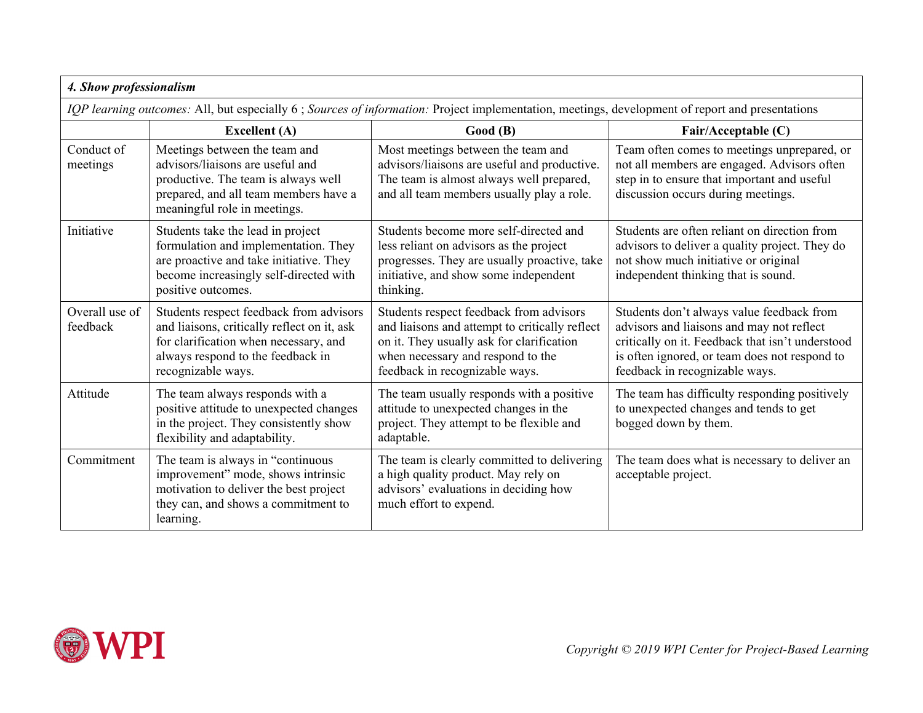| 4. Show professionalism                                                                                                                         |                                                                                                                                                                                            |                                                                                                                                                                                                               |                                                                                                                                                                                                                               |
|-------------------------------------------------------------------------------------------------------------------------------------------------|--------------------------------------------------------------------------------------------------------------------------------------------------------------------------------------------|---------------------------------------------------------------------------------------------------------------------------------------------------------------------------------------------------------------|-------------------------------------------------------------------------------------------------------------------------------------------------------------------------------------------------------------------------------|
| IQP learning outcomes: All, but especially 6; Sources of information: Project implementation, meetings, development of report and presentations |                                                                                                                                                                                            |                                                                                                                                                                                                               |                                                                                                                                                                                                                               |
|                                                                                                                                                 | <b>Excellent</b> (A)                                                                                                                                                                       | Good(B)                                                                                                                                                                                                       | Fair/Acceptable (C)                                                                                                                                                                                                           |
| Conduct of<br>meetings                                                                                                                          | Meetings between the team and<br>advisors/liaisons are useful and<br>productive. The team is always well<br>prepared, and all team members have a<br>meaningful role in meetings.          | Most meetings between the team and<br>advisors/liaisons are useful and productive.<br>The team is almost always well prepared,<br>and all team members usually play a role.                                   | Team often comes to meetings unprepared, or<br>not all members are engaged. Advisors often<br>step in to ensure that important and useful<br>discussion occurs during meetings.                                               |
| Initiative                                                                                                                                      | Students take the lead in project<br>formulation and implementation. They<br>are proactive and take initiative. They<br>become increasingly self-directed with<br>positive outcomes.       | Students become more self-directed and<br>less reliant on advisors as the project<br>progresses. They are usually proactive, take<br>initiative, and show some independent<br>thinking.                       | Students are often reliant on direction from<br>advisors to deliver a quality project. They do<br>not show much initiative or original<br>independent thinking that is sound.                                                 |
| Overall use of<br>feedback                                                                                                                      | Students respect feedback from advisors<br>and liaisons, critically reflect on it, ask<br>for clarification when necessary, and<br>always respond to the feedback in<br>recognizable ways. | Students respect feedback from advisors<br>and liaisons and attempt to critically reflect<br>on it. They usually ask for clarification<br>when necessary and respond to the<br>feedback in recognizable ways. | Students don't always value feedback from<br>advisors and liaisons and may not reflect<br>critically on it. Feedback that isn't understood<br>is often ignored, or team does not respond to<br>feedback in recognizable ways. |
| Attitude                                                                                                                                        | The team always responds with a<br>positive attitude to unexpected changes<br>in the project. They consistently show<br>flexibility and adaptability.                                      | The team usually responds with a positive<br>attitude to unexpected changes in the<br>project. They attempt to be flexible and<br>adaptable.                                                                  | The team has difficulty responding positively<br>to unexpected changes and tends to get<br>bogged down by them.                                                                                                               |
| Commitment                                                                                                                                      | The team is always in "continuous"<br>improvement" mode, shows intrinsic<br>motivation to deliver the best project<br>they can, and shows a commitment to<br>learning.                     | The team is clearly committed to delivering<br>a high quality product. May rely on<br>advisors' evaluations in deciding how<br>much effort to expend.                                                         | The team does what is necessary to deliver an<br>acceptable project.                                                                                                                                                          |